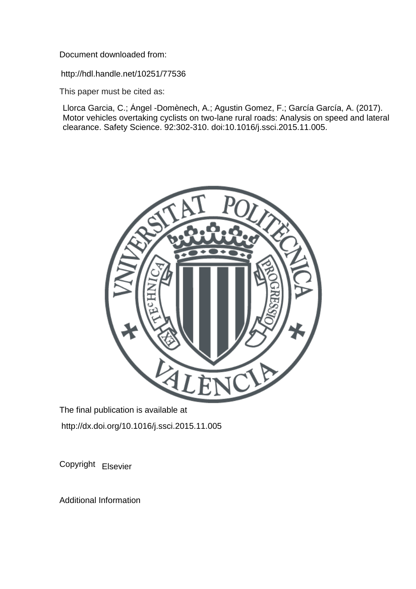Document downloaded from:

http://hdl.handle.net/10251/77536

This paper must be cited as:

Llorca Garcia, C.; Ángel -Domènech, A.; Agustin Gomez, F.; García García, A. (2017). Motor vehicles overtaking cyclists on two-lane rural roads: Analysis on speed and lateral clearance. Safety Science. 92:302-310. doi:10.1016/j.ssci.2015.11.005.



The final publication is available at http://dx.doi.org/10.1016/j.ssci.2015.11.005

Copyright Elsevier

Additional Information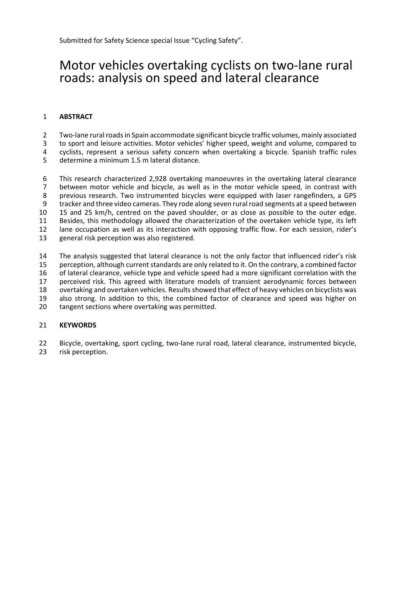# Motor vehicles overtaking cyclists on two-lane rural roads: analysis on speed and lateral clearance

## **ABSTRACT**

2 Two-lane rural roads in Spain accommodate significant bicycle traffic volumes, mainly associated

3 to sport and leisure activities. Motor vehicles' higher speed, weight and volume, compared to 3<br>3 cyclists represent a serious safety concern when overtaking a bicycle. Spanish traffic rules

cyclists, represent a serious safety concern when overtaking a bicycle. Spanish traffic rules

determine a minimum 1.5 m lateral distance.

6 This research characterized 2,928 overtaking manoeuvres in the overtaking lateral clearance<br>7 between motor vehicle and bicycle, as well as in the motor vehicle speed, in contrast with between motor vehicle and bicycle, as well as in the motor vehicle speed, in contrast with previous research. Two instrumented bicycles were equipped with laser rangefinders, a GPS tracker and three video cameras. They rode along seven rural road segments at a speed between 15 and 25 km/h, centred on the paved shoulder, or as close as possible to the outer edge. Besides, this methodology allowed the characterization of the overtaken vehicle type, its left lane occupation as well as its interaction with opposing traffic flow. For each session, rider's general risk perception was also registered.

 The analysis suggested that lateral clearance is not the only factor that influenced rider's risk 15 perception, although current standards are only related to it. On the contrary, a combined factor of lateral clearance, vehicle type and vehicle speed had a more significant correlation with the perceived risk. This agreed with literature models of transient aerodynamic forces between overtaking and overtaken vehicles. Resultsshowed that effect of heavy vehicles on bicyclists was also strong. In addition to this, the combined factor of clearance and speed was higher on tangent sections where overtaking was permitted.

#### **KEYWORDS**

22 Bicycle, overtaking, sport cycling, two-lane rural road, lateral clearance, instrumented bicycle, risk perception.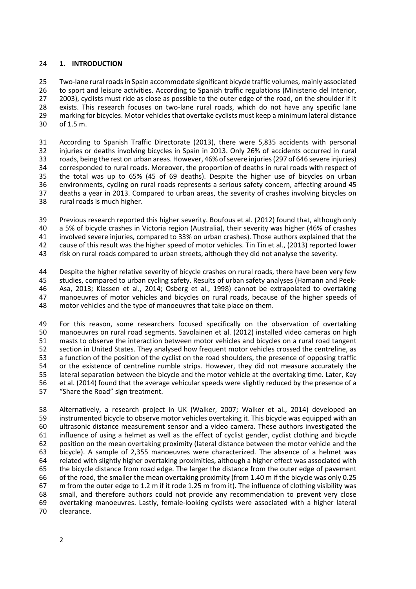#### **1. INTRODUCTION**

25 Two-lane rural roads in Spain accommodate significant bicycle traffic volumes, mainly associated to sport and leisure activities. According to Spanish traffic regulations (Ministerio del Interior, 27 2003), cyclists must ride as close as possible to the outer edge of the road, on the shoulder if it 28 exists. This research focuses on two-lane rural roads, which do not have any specific lane 29 marking for bicycles. Motor vehicles that overtake cyclists must keep a minimum lateral distance of 1.5 m.

 According to Spanish Traffic Directorate (2013), there were 5,835 accidents with personal injuries or deaths involving bicycles in Spain in 2013. Only 26% of accidents occurred in rural 33 roads, being the rest on urban areas. However, 46% of severe injuries (297 of 646 severe injuries)<br>34 corresponded to rural roads. Moreover, the proportion of deaths in rural roads with respect of corresponded to rural roads. Moreover, the proportion of deaths in rural roads with respect of the total was up to 65% (45 of 69 deaths). Despite the higher use of bicycles on urban environments, cycling on rural roads represents a serious safety concern, affecting around 45 deaths a year in 2013. Compared to urban areas, the severity of crashes involving bicycles on rural roads is much higher.

 Previous research reported this higher severity. Boufous et al. (2012) found that, although only a 5% of bicycle crashes in Victoria region (Australia), their severity was higher (46% of crashes involved severe injuries, compared to 33% on urban crashes). Those authors explained that the cause of this result was the higher speed of motor vehicles. Tin Tin et al., (2013) reported lower

risk on rural roads compared to urban streets, although they did not analyse the severity.

 Despite the higher relative severity of bicycle crashes on rural roads, there have been very few studies, compared to urban cycling safety. Results of urban safety analyses (Hamann and Peek‐ Asa, 2013; Klassen et al., 2014; Osberg et al., 1998) cannot be extrapolated to overtaking manoeuvres of motor vehicles and bicycles on rural roads, because of the higher speeds of motor vehicles and the type of manoeuvres that take place on them.

49 For this reason, some researchers focused specifically on the observation of overtaking<br>50 manoeuvres on rural road segments. Savolainen et al. (2012) installed video cameras on high manoeuvres on rural road segments. Savolainen et al. (2012) installed video cameras on high masts to observe the interaction between motor vehicles and bicycles on a rural road tangent section in United States. They analysed how frequent motor vehicles crossed the centreline, as a function of the position of the cyclist on the road shoulders, the presence of opposing traffic or the existence of centreline rumble strips. However, they did not measure accurately the lateral separation between the bicycle and the motor vehicle at the overtaking time. Later, Kay et al. (2014) found that the average vehicular speeds were slightly reduced by the presence of a "Share the Road" sign treatment.

 Alternatively, a research project in UK (Walker, 2007; Walker et al., 2014) developed an instrumented bicycle to observe motor vehicles overtaking it. This bicycle was equipped with an ultrasonic distance measurement sensor and a video camera. These authors investigated the influence of using a helmet as well as the effect of cyclist gender, cyclist clothing and bicycle position on the mean overtaking proximity (lateral distance between the motor vehicle and the bicycle). A sample of 2,355 manoeuvres were characterized. The absence of a helmet was related with slightly higher overtaking proximities, although a higher effect was associated with the bicycle distance from road edge. The larger the distance from the outer edge of pavement of the road, the smaller the mean overtaking proximity (from 1.40 m if the bicycle was only 0.25 m from the outer edge to 1.2 m if it rode 1.25 m from it). The influence of clothing visibility was small, and therefore authors could not provide any recommendation to prevent very close overtaking manoeuvres. Lastly, female‐looking cyclists were associated with a higher lateral clearance.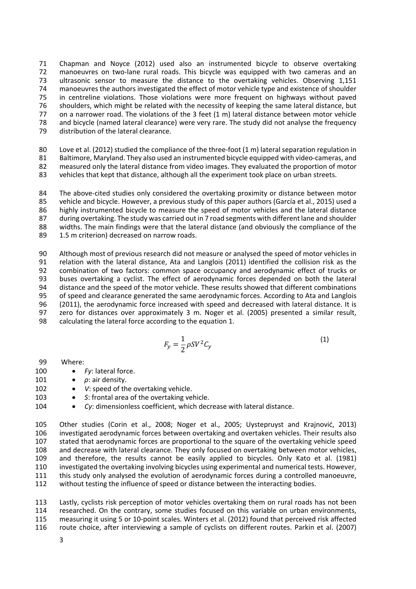Chapman and Noyce (2012) used also an instrumented bicycle to observe overtaking 72 manoeuvres on two-lane rural roads. This bicycle was equipped with two cameras and an ultrasonic sensor to measure the distance to the overtaking vehicles. Observing 1,151 74 manoeuvres the authors investigated the effect of motor vehicle type and existence of shoulder<br>75 in centreline violations. Those violations were more frequent on highways without paved in centreline violations. Those violations were more frequent on highways without paved shoulders, which might be related with the necessity of keeping the same lateral distance, but 77 on a narrower road. The violations of the 3 feet (1 m) lateral distance between motor vehicle and bicycle (named lateral clearance) were very rare. The study did not analyse the frequency distribution of the lateral clearance.

80 Love et al. (2012) studied the compliance of the three-foot (1 m) lateral separation regulation in 81 Baltimore, Maryland. They also used an instrumented bicycle equipped with video-cameras, and measured only the lateral distance from video images. They evaluated the proportion of motor vehicles that kept that distance, although all the experiment took place on urban streets.

84 The above-cited studies only considered the overtaking proximity or distance between motor vehicle and bicycle. However, a previous study of this paper authors (García et al., 2015) used a highly instrumented bicycle to measure the speed of motor vehicles and the lateral distance during overtaking. The study was carried out in 7 road segments with different lane and shoulder widths. The main findings were that the lateral distance (and obviously the compliance of the 1.5 m criterion) decreased on narrow roads.

 Although most of previous research did not measure or analysed the speed of motor vehicles in 91 relation with the lateral distance, Ata and Langlois (2011) identified the collision risk as the<br>92 combination of two factors: common space occupancy and aerodynamic effect of trucks or 92 combination of two factors: common space occupancy and aerodynamic effect of trucks or<br>93 buses overtaking a cyclist. The effect of aerodynamic forces depended on both the lateral 93 buses overtaking a cyclist. The effect of aerodynamic forces depended on both the lateral<br>94 distance and the speed of the motor vehicle. These results showed that different combinations distance and the speed of the motor vehicle. These results showed that different combinations of speed and clearance generated the same aerodynamic forces. According to Ata and Langlois (2011), the aerodynamic force increased with speed and decreased with lateral distance. It is zero for distances over approximately 3 m. Noger et al. (2005) presented a similar result, calculating the lateral force according to the equation 1.

$$
F_y = \frac{1}{2} \rho S V^2 C_y \tag{1}
$$

| 99 | Where: |
|----|--------|
|----|--------|

- 100 Fy: lateral force.
- 101 *ρ*: air density.
- 102 *V*: speed of the overtaking vehicle.
- 103 *S*: frontal area of the overtaking vehicle.
- 104 *Cy*: dimensionless coefficient, which decrease with lateral distance.

 Other studies (Corin et al., 2008; Noger et al., 2005; Uystepruyst and Krajnović, 2013) investigated aerodynamic forces between overtaking and overtaken vehicles. Their results also stated that aerodynamic forces are proportional to the square of the overtaking vehicle speed and decrease with lateral clearance. They only focused on overtaking between motor vehicles, and therefore, the results cannot be easily applied to bicycles. Only Kato et al. (1981) investigated the overtaking involving bicycles using experimental and numerical tests. However, this study only analysed the evolution of aerodynamic forces during a controlled manoeuvre, without testing the influence of speed or distance between the interacting bodies.

 Lastly, cyclists risk perception of motor vehicles overtaking them on rural roads has not been researched. On the contrary, some studies focused on this variable on urban environments, 115 measuring it using 5 or 10-point scales. Winters et al. (2012) found that perceived risk affected route choice, after interviewing a sample of cyclists on different routes. Parkin et al. (2007)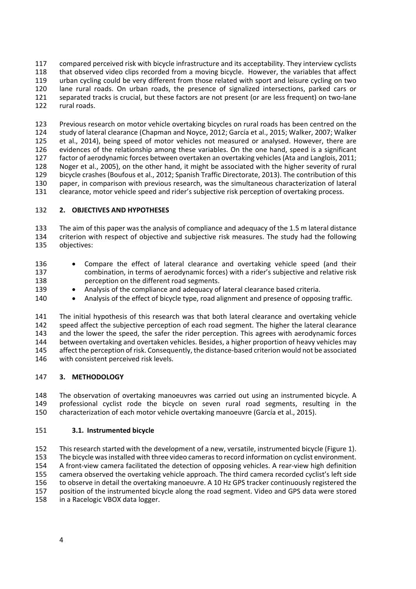compared perceived risk with bicycle infrastructure and its acceptability. They interview cyclists that observed video clips recorded from a moving bicycle. However, the variables that affect urban cycling could be very different from those related with sport and leisure cycling on two 120 lane rural roads. On urban roads, the presence of signalized intersections, parked cars or 121 separated tracks is crucial. but these factors are not present (or are less frequent) on two-lane separated tracks is crucial, but these factors are not present (or are less frequent) on two-lane rural roads.

 Previous research on motor vehicle overtaking bicycles on rural roads has been centred on the study of lateral clearance (Chapman and Noyce, 2012; García et al., 2015; Walker, 2007; Walker et al., 2014), being speed of motor vehicles not measured or analysed. However, there are evidences of the relationship among these variables. On the one hand, speed is a significant factor of aerodynamic forces between overtaken an overtaking vehicles(Ata and Langlois, 2011; Noger et al., 2005), on the other hand, it might be associated with the higher severity of rural bicycle crashes (Boufous et al., 2012; Spanish Traffic Directorate, 2013). The contribution of this paper, in comparison with previous research, was the simultaneous characterization of lateral clearance, motor vehicle speed and rider's subjective risk perception of overtaking process.

## **2. OBJECTIVES AND HYPOTHESES**

 The aim of this paper was the analysis of compliance and adequacy of the 1.5 m lateral distance criterion with respect of objective and subjective risk measures. The study had the following objectives:

- 136 Compare the effect of lateral clearance and overtaking vehicle speed (and their combination, in terms of aerodynamic forces) with a rider's subjective and relative risk perception on the different road segments.
- 139 Analysis of the compliance and adequacy of lateral clearance based criteria.
- 140 Analysis of the effect of bicycle type, road alignment and presence of opposing traffic.

 The initial hypothesis of this research was that both lateral clearance and overtaking vehicle 142 speed affect the subjective perception of each road segment. The higher the lateral clearance and the lower the speed, the safer the rider perception. This agrees with aerodynamic forces between overtaking and overtaken vehicles. Besides, a higher proportion of heavy vehicles may 145 affect the perception of risk. Consequently, the distance-based criterion would not be associated with consistent perceived risk levels.

#### **3. METHODOLOGY**

 The observation of overtaking manoeuvres was carried out using an instrumented bicycle. A professional cyclist rode the bicycle on seven rural road segments, resulting in the characterization of each motor vehicle overtaking manoeuvre (García et al., 2015).

#### **3.1. Instrumented bicycle**

 This research started with the development of a new, versatile, instrumented bicycle (Figure 1). The bicycle wasinstalled with three video camerasto record information on cyclist environment. 154 A front-view camera facilitated the detection of opposing vehicles. A rear-view high definition camera observed the overtaking vehicle approach. The third camera recorded cyclist's left side to observe in detail the overtaking manoeuvre. A 10 Hz GPS tracker continuously registered the position of the instrumented bicycle along the road segment. Video and GPS data were stored in a Racelogic VBOX data logger.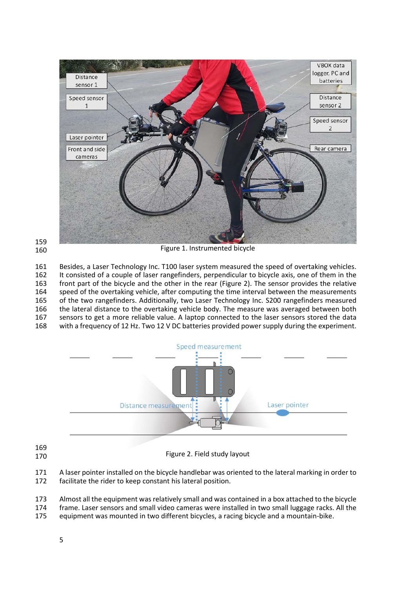



Figure 1. Instrumented bicycle

 Besides, a Laser Technology Inc. T100 laser system measured the speed of overtaking vehicles. It consisted of a couple of laser rangefinders, perpendicular to bicycle axis, one of them in the front part of the bicycle and the other in the rear (Figure 2). The sensor provides the relative speed of the overtaking vehicle, after computing the time interval between the measurements of the two rangefinders. Additionally, two Laser Technology Inc. S200 rangefinders measured 166 the lateral distance to the overtaking vehicle body. The measure was averaged between both sensors to get a more reliable value. A laptop connected to the laser sensors stored the data with a frequency of 12 Hz. Two 12 V DC batteries provided power supply during the experiment.



 

Figure 2. Field study layout

 A laser pointer installed on the bicycle handlebar was oriented to the lateral marking in order to facilitate the rider to keep constant his lateral position.

Almost all the equipment wasrelatively small and was contained in a box attached to the bicycle

- frame. Laser sensors and small video cameras were installed in two small luggage racks. All the
- equipment was mounted in two different bicycles, a racing bicycle and a mountain‐bike.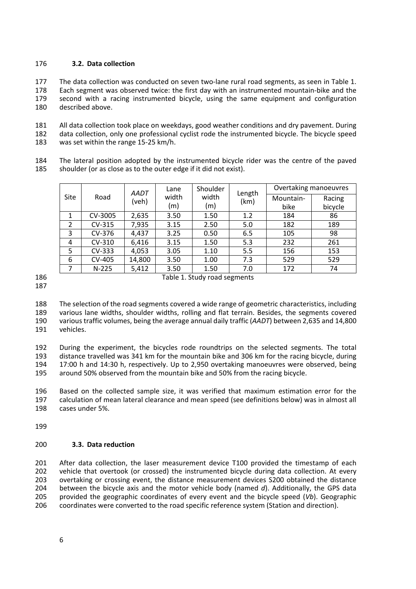#### **3.2. Data collection**

177 The data collection was conducted on seven two-lane rural road segments, as seen in Table 1. 178 Each segment was observed twice: the first day with an instrumented mountain-bike and the second with a racing instrumented bicycle, using the same equipment and configuration described above.

 All data collection took place on weekdays, good weather conditions and dry pavement. During data collection, only one professional cyclist rode the instrumented bicycle. The bicycle speed was set within the range 15‐25 km/h.

 The lateral position adopted by the instrumented bicycle rider was the centre of the paved shoulder (or as close as to the outer edge if it did not exist).

| <b>Site</b>    | Road          | AADT<br>(veh) | Lane<br>width | Shoulder<br>Length<br>width<br>(km)<br>(m) |     | Overtaking manoeuvres |         |
|----------------|---------------|---------------|---------------|--------------------------------------------|-----|-----------------------|---------|
|                |               |               |               |                                            |     | Mountain-             | Racing  |
|                |               |               | (m)           |                                            |     | bike                  | bicycle |
|                | CV-3005       | 2,635         | 3.50          | 1.50                                       | 1.2 | 184                   | 86      |
| 2              | CV-315        | 7,935         | 3.15          | 2.50                                       | 5.0 | 182                   | 189     |
| 3              | CV-376        | 4,437         | 3.25          | 0.50                                       | 6.5 | 105                   | 98      |
| 4              | CV-310        | 6.416         | 3.15          | 1.50                                       | 5.3 | 232                   | 261     |
| 5              | CV-333        | 4,053         | 3.05          | 1.10                                       | 5.5 | 156                   | 153     |
| 6              | <b>CV-405</b> | 14,800        | 3.50          | 1.00                                       | 7.3 | 529                   | 529     |
| $\overline{7}$ | $N-225$       | 5,412         | 3.50          | 1.50                                       | 7.0 | 172                   | 74      |

 The selection of the road segments covered a wide range of geometric characteristics, including various lane widths, shoulder widths, rolling and flat terrain. Besides, the segments covered various traffic volumes, being the average annual daily traffic (*AADT*) between 2,635 and 14,800 vehicles.

 During the experiment, the bicycles rode roundtrips on the selected segments. The total distance travelled was 341 km for the mountain bike and 306 km for the racing bicycle, during 17:00 h and 14:30 h, respectively. Up to 2,950 overtaking manoeuvres were observed, being around 50% observed from the mountain bike and 50% from the racing bicycle.

 Based on the collected sample size, it was verified that maximum estimation error for the calculation of mean lateral clearance and mean speed (see definitions below) was in almost all cases under 5%.

#### **3.3. Data reduction**

201 After data collection, the laser measurement device T100 provided the timestamp of each 202 vehicle that overtook (or crossed) the instrumented bicycle during data collection. At every overtaking or crossing event, the distance measurement devices S200 obtained the distance between the bicycle axis and the motor vehicle body (named *d*). Additionally, the GPS data provided the geographic coordinates of every event and the bicycle speed (*Vb*). Geographic coordinates were converted to the road specific reference system (Station and direction).

Table 1. Study road segments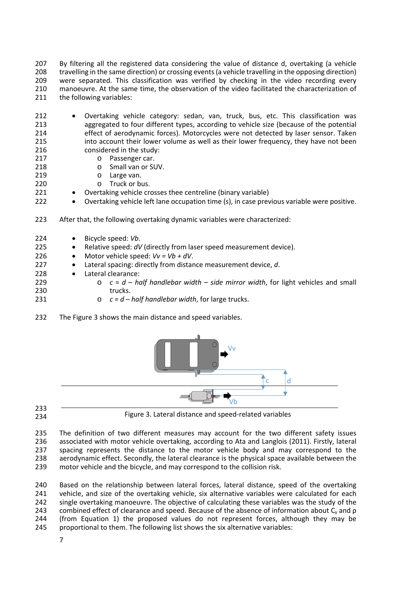207 By filtering all the registered data considering the value of distance d, overtaking (a vehicle travelling in the same direction) or crossing events(a vehicle travelling in the opposing direction) were separated. This classification was verified by checking in the video recording every 210 manoeuvre. At the same time, the observation of the video facilitated the characterization of 211 the following variables: the following variables:

- 212 Overtaking vehicle category: sedan, van, truck, bus, etc. This classification was aggregated to four different types, according to vehicle size (because of the potential effect of aerodynamic forces). Motorcycles were not detected by laser sensor. Taken 215 into account their lower volume as well as their lower frequency, they have not been<br>216 considered in the study: considered in the study:
- o Passenger car.
- o Small van or SUV.
- o Large van.
- o Truck or bus.
- 221 Overtaking vehicle crosses thee centreline (binary variable)
- 222 Overtaking vehicle left lane occupation time (s), in case previous variable were positive.
- After that, the following overtaking dynamic variables were characterized:
- Bicycle speed: *Vb*.
- **•** Relative speed: *dV* (directly from laser speed measurement device).
- 226 Motor vehicle speed:  $Vv = Vb + dV$ .
- Lateral spacing: directly from distance measurement device, *d*.
- 228 · Lateral clearance:
- 
- o *c* = *d half handlebar width side mirror width*, for light vehicles and small 230 trucks.
- o *c = d half handlebar width*, for large trucks.
- The Figure 3 shows the main distance and speed variables.



 

Figure 3. Lateral distance and speed‐related variables

 The definition of two different measures may account for the two different safety issues associated with motor vehicle overtaking, according to Ata and Langlois (2011). Firstly, lateral spacing represents the distance to the motor vehicle body and may correspond to the aerodynamic effect. Secondly, the lateral clearance is the physical space available between the motor vehicle and the bicycle, and may correspond to the collision risk.

240 Based on the relationship between lateral forces, lateral distance, speed of the overtaking<br>241 vehicle, and size of the overtaking vehicle, six alternative variables were calculated for each vehicle, and size of the overtaking vehicle, six alternative variables were calculated for each single overtaking manoeuvre. The objective of calculating these variables was the study of the combined effect of clearance and speed. Because of the absence of information about Cy and ρ (from Equation 1) the proposed values do not represent forces, although they may be proportional to them. The following list shows the six alternative variables: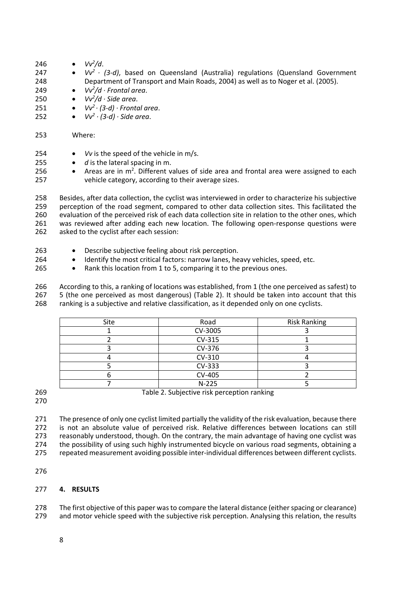- 246  $Vv^2/d$ .
- *Vv2 ∙ (3‐d)*, based on Queensland (Australia) regulations (Quensland Government Department of Transport and Main Roads, 2004) as well as to Noger et al. (2005).
- *Vv2 /d ∙ Frontal area*.
- *Vv2 /d ∙ Side area*.
- *Vv2 ∙ (3‐d) ∙ Frontal area*.
- *Vv2 ∙ (3‐d) ∙ Side area*.
- Where:
- 254 *Vv* is the speed of the vehicle in m/s.
- **•** *d* is the lateral spacing in m.
- 256 . Areas are in  $m^2$ . Different values of side area and frontal area were assigned to each vehicle category, according to their average sizes.

 Besides, after data collection, the cyclist was interviewed in order to characterize his subjective perception of the road segment, compared to other data collection sites. This facilitated the evaluation of the perceived risk of each data collection site in relation to the other ones, which 261 was reviewed after adding each new location. The following open-response questions were asked to the cyclist after each session:

- 263 Describe subjective feeling about risk perception.
- **•** Identify the most critical factors: narrow lanes, heavy vehicles, speed, etc.
- 265 Rank this location from 1 to 5, comparing it to the previous ones.

266 According to this, a ranking of locations was established, from 1 (the one perceived as safest) to 267 5 (the one perceived as most dangerous) (Table 2). It should be taken into account that this 267 5 (the one perceived as most dangerous) (Table 2). It should be taken into account that this 268 ranking is a subjective and relative classification, as it depended only on one cyclists.

ranking is a subjective and relative classification, as it depended only on one cyclists.

| Site | Road    | <b>Risk Ranking</b> |  |
|------|---------|---------------------|--|
|      | CV-3005 |                     |  |
|      | CV-315  |                     |  |
|      | CV-376  |                     |  |
|      | CV-310  |                     |  |
|      | CV-333  |                     |  |
|      | CV-405  |                     |  |
|      | $N-225$ |                     |  |

Table 2. Subjective risk perception ranking

271 The presence of only one cyclist limited partially the validity of the risk evaluation, because there is not an absolute value of perceived risk. Relative differences between locations can still reasonably understood, though. On the contrary, the main advantage of having one cyclist was 274 the possibility of using such highly instrumented bicycle on various road segments, obtaining a 275 repeated measurement avoiding possible inter-individual differences between different cyclists.

## **4. RESULTS**

278 The first objective of this paper was to compare the lateral distance (either spacing or clearance) and motor vehicle speed with the subjective risk perception. Analysing this relation, the results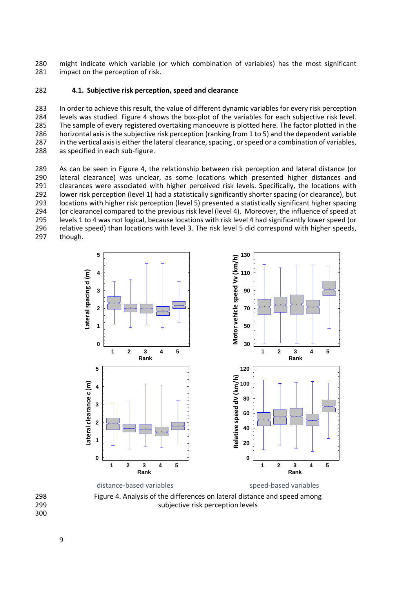might indicate which variable (or which combination of variables) has the most significant impact on the perception of risk.

#### **4.1. Subjective risk perception, speed and clearance**

 In order to achieve this result, the value of different dynamic variables for every risk perception levels was studied. Figure 4 shows the box‐plot of the variables for each subjective risk level. The sample of every registered overtaking manoeuvre is plotted here. The factor plotted in the horizontal axis is the subjective risk perception (ranking from 1 to 5) and the dependent variable 287 in the vertical axis is either the lateral clearance, spacing, or speed or a combination of variables, 288 as specified in each sub-figure.

 As can be seen in Figure 4, the relationship between risk perception and lateral distance (or lateral clearance) was unclear, as some locations which presented higher distances and clearances were associated with higher perceived risk levels. Specifically, the locations with 292 lower risk perception (level 1) had a statistically significantly shorter spacing (or clearance), but<br>293 locations with higher risk perception (level 5) presented a statistically significant higher spacing locations with higher risk perception (level 5) presented a statistically significant higher spacing (or clearance) compared to the previous risk level (level 4). Moreover, the influence of speed at levels 1 to 4 was not logical, because locations with risk level 4 had significantly lower speed (or 296 relative speed) than locations with level 3. The risk level 5 did correspond with higher speeds, though.



 Figure 4. Analysis of the differences on lateral distance and speed among subjective risk perception levels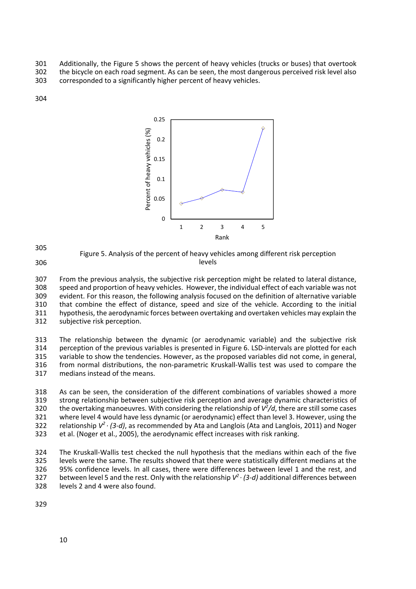301 Additionally, the Figure 5 shows the percent of heavy vehicles (trucks or buses) that overtook 302 the bicycle on each road segment. As can be seen, the most dangerous perceived risk level also 303 corresponded to a significantly higher percent of heavy vehicles.

304



305 306 Figure 5. Analysis of the percent of heavy vehicles among different risk perception levels

 From the previous analysis, the subjective risk perception might be related to lateral distance, speed and proportion of heavy vehicles. However, the individual effect of each variable was not evident. For this reason, the following analysis focused on the definition of alternative variable 310 that combine the effect of distance, speed and size of the vehicle. According to the initial<br>311 hypothesis, the aerodynamic forces between overtaking and overtaken vehicles may explain the hypothesis, the aerodynamic forces between overtaking and overtaken vehicles may explain the subjective risk perception.

313 The relationship between the dynamic (or aerodynamic variable) and the subjective risk<br>314 perception of the previous variables is presented in Figure 6. LSD-intervals are plotted for each perception of the previous variables is presented in Figure 6. LSD-intervals are plotted for each 315 variable to show the tendencies. However, as the proposed variables did not come, in general, 316 from normal distributions, the non-parametric Kruskall-Wallis test was used to compare the 317 medians instead of the means.

 As can be seen, the consideration of the different combinations of variables showed a more strong relationship between subjective risk perception and average dynamic characteristics of 320 the overtaking manoeuvres. With considering the relationship of  $V^2/d$ , there are still some cases where level 4 would have less dynamic (or aerodynamic) effect than level 3. However, using the relationship *V2* 322 *∙ (3‐d)*, as recommended by Ata and Langlois (Ata and Langlois, 2011) and Noger et al. (Noger et al., 2005), the aerodynamic effect increases with risk ranking.

324 The Kruskall-Wallis test checked the null hypothesis that the medians within each of the five 325 levels were the same. The results showed that there were statistically different medians at the 326 95% confidence levels. In all cases, there were differences between level 1 and the rest, and between level 5 and the rest. Only with the relationship  $V^2 \cdot (3-d)$  additional differences between<br>328 *∂* levels 2 and 4 were also found. levels 2 and 4 were also found.

329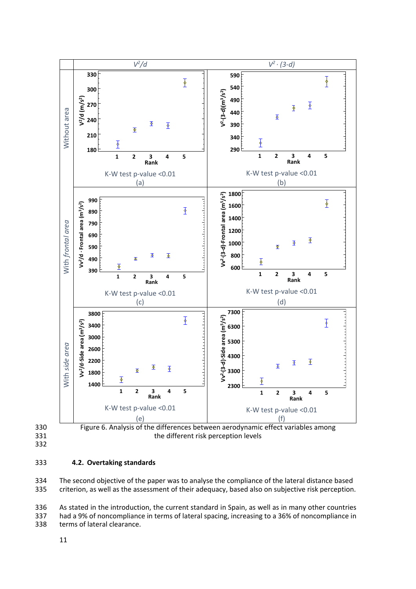



the different risk perception levels

## **4.2. Overtaking standards**

 The second objective of the paper was to analyse the compliance of the lateral distance based criterion, as well as the assessment of their adequacy, based also on subjective risk perception.

 As stated in the introduction, the current standard in Spain, as well as in many other countries had a 9% of noncompliance in terms of lateral spacing, increasing to a 36% of noncompliance in

terms of lateral clearance.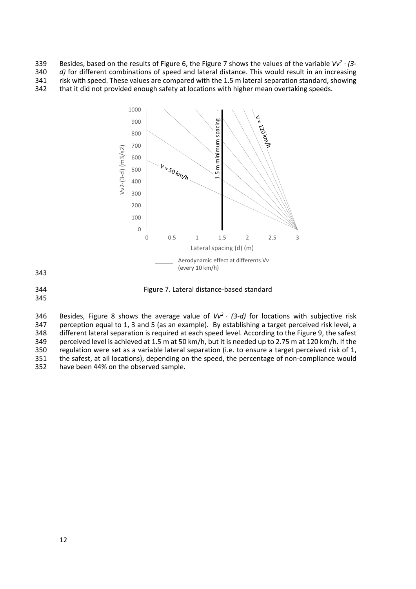Besides, based on the results of Figure 6, the Figure 7 shows the values of the variable  $Vv^2 \cdot (3-1)$ *d*) for different combinations of speed and lateral distance. This would result in an increasing 341 risk with speed. These values are compared with the 1.5 m lateral separation standard, showing<br>342 that it did not provided enough safety at locations with higher mean overtaking speeds.

that it did not provided enough safety at locations with higher mean overtaking speeds.



**Figure 7. Lateral distance-based standard** 

Besides, Figure 8 shows the average value of *Vv<sup>2</sup> · (3-d)* for locations with subjective risk 1347 *•* perception equal to 1, 3 and 5 (as an example). By establishing a target perceived risk level, a perception equal to 1, 3 and 5 (as an example). By establishing a target perceived risk level, a different lateral separation is required at each speed level. According to the Figure 9, the safest perceived level is achieved at 1.5 m at 50 km/h, but it is needed up to 2.75 m at 120 km/h. If the regulation were set as a variable lateral separation (i.e. to ensure a target perceived risk of 1, the safest, at all locations), depending on the speed, the percentage of non‐compliance would have been 44% on the observed sample.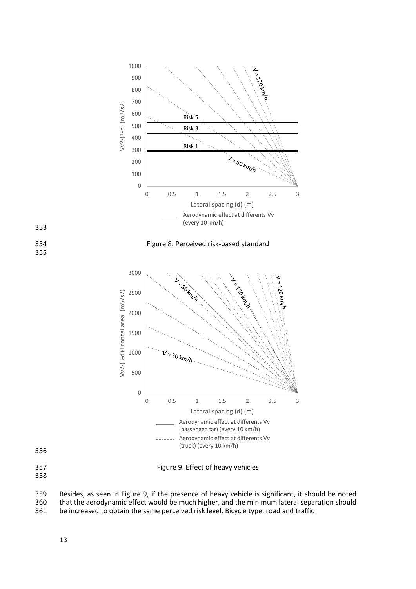

358

359 Besides, as seen in Figure 9, if the presence of heavy vehicle is significant, it should be noted<br>360 that the aerodynamic effect would be much higher, and the minimum lateral separation should 360 that the aerodynamic effect would be much higher, and the minimum lateral separation should<br>361 be increased to obtain the same perceived risk level. Bicycle type, road and traffic

be increased to obtain the same perceived risk level. Bicycle type, road and traffic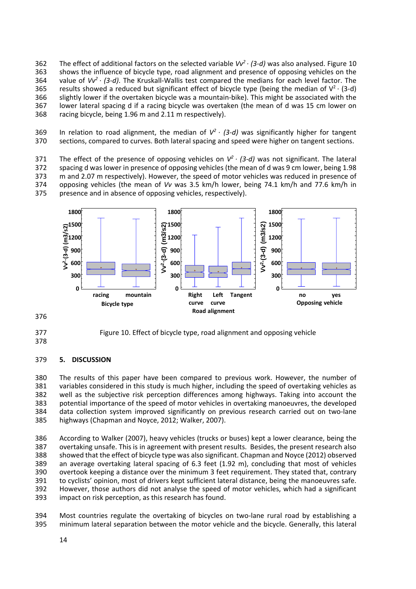The effect of additional factors on the selected variable *Vv<sup>2</sup> · (3-d)* was also analysed. Figure 10 shows the influence of bicycle type, road alignment and presence of opposing vehicles on the 364 *•* value of *Vv<sup>2</sup> · (3-d)*. The Kruskall-Wallis test compared the medians for each level factor. The results showed a reduced but significant effect of bicycle type (being the median of  $V^2 \cdot (3-d)$ <br>366 ⋅ slightly lower if the overtaken bicycle was a mountain-bike). This might be associated with the slightly lower if the overtaken bicycle was a mountain-bike). This might be associated with the lower lateral spacing d if a racing bicycle was overtaken (the mean of d was 15 cm lower on racing bicycle, being 1.96 m and 2.11 m respectively).

In relation to road alignment, the median of *V2 ∙ (3‐d)* was significantly higher for tangent sections, compared to curves. Both lateral spacing and speed were higher on tangent sections.

The effect of the presence of opposing vehicles on *V<sup>2</sup> · (3-d)* was not significant. The lateral 372 spacing d was lower in presence of opposing vehicles (the mean of d was 9 cm lower, being 1.98 spacing d was lower in presence of opposing vehicles (the mean of d was 9 cm lower, being 1.98 m and 2.07 m respectively). However, the speed of motor vehicles was reduced in presence of opposing vehicles (the mean of *Vv* was 3.5 km/h lower, being 74.1 km/h and 77.6 km/h in presence and in absence of opposing vehicles, respectively).



Figure 10. Effect of bicycle type, road alignment and opposing vehicle

## **5. DISCUSSION**

 The results of this paper have been compared to previous work. However, the number of variables considered in this study is much higher, including the speed of overtaking vehicles as well as the subjective risk perception differences among highways. Taking into account the potential importance of the speed of motor vehicles in overtaking manoeuvres, the developed data collection system improved significantly on previous research carried out on two‐lane highways (Chapman and Noyce, 2012; Walker, 2007).

386 According to Walker (2007), heavy vehicles (trucks or buses) kept a lower clearance, being the<br>387 overtaking unsafe. This is in agreement with present results. Besides, the present research also overtaking unsafe. This is in agreement with present results. Besides, the present research also showed that the effect of bicycle type was also significant. Chapman and Noyce (2012) observed an average overtaking lateral spacing of 6.3 feet (1.92 m), concluding that most of vehicles overtook keeping a distance over the minimum 3 feet requirement. They stated that, contrary to cyclists' opinion, most of drivers kept sufficient lateral distance, being the manoeuvres safe. However, those authors did not analyse the speed of motor vehicles, which had a significant impact on risk perception, as this research has found.

394 Most countries regulate the overtaking of bicycles on two-lane rural road by establishing a minimum lateral separation between the motor vehicle and the bicycle. Generally, this lateral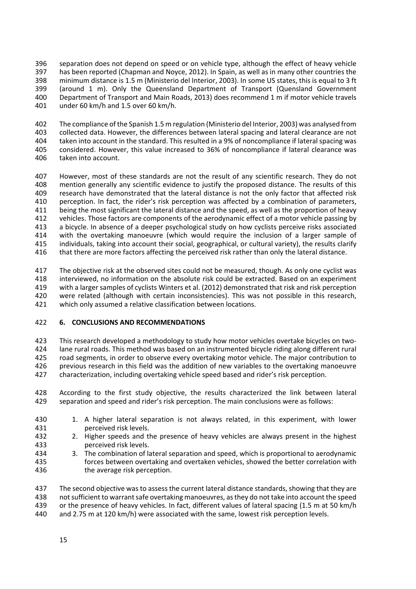separation does not depend on speed or on vehicle type, although the effect of heavy vehicle has been reported (Chapman and Noyce, 2012). In Spain, as well as in many other countries the minimum distance is 1.5 m (Ministerio del Interior, 2003). In some US states, this is equal to 3 ft (around 1 m). Only the Queensland Department of Transport (Quensland Government Department of Transport and Main Roads, 2013) does recommend 1 m if motor vehicle travels under 60 km/h and 1.5 over 60 km/h.

 The compliance of the Spanish 1.5 m regulation (Ministerio del Interior, 2003) was analysed from collected data. However, the differences between lateral spacing and lateral clearance are not taken into account in the standard. This resulted in a 9% of noncompliance if lateral spacing was considered. However, this value increased to 36% of noncompliance if lateral clearance was taken into account.

 However, most of these standards are not the result of any scientific research. They do not mention generally any scientific evidence to justify the proposed distance. The results of this research have demonstrated that the lateral distance is not the only factor that affected risk perception. In fact, the rider's risk perception was affected by a combination of parameters, being the most significant the lateral distance and the speed, as well as the proportion of heavy vehicles. Those factors are components of the aerodynamic effect of a motor vehicle passing by a bicycle. In absence of a deeper psychological study on how cyclists perceive risks associated with the overtaking manoeuvre (which would require the inclusion of a larger sample of individuals, taking into account their social, geographical, or cultural variety), the results clarify 416 that there are more factors affecting the perceived risk rather than only the lateral distance.

417 The objective risk at the observed sites could not be measured, though. As only one cyclist was interviewed, no information on the absolute risk could be extracted. Based on an experiment with a larger samples of cyclists Winters et al. (2012) demonstrated that risk and risk perception were related (although with certain inconsistencies). This was not possible in this research, which only assumed a relative classification between locations.

#### **6. CONCLUSIONS AND RECOMMENDATIONS**

 This research developed a methodology to study how motor vehicles overtake bicycles on two‐ lane rural roads. This method was based on an instrumented bicycle riding along different rural road segments, in order to observe every overtaking motor vehicle. The major contribution to previous research in this field was the addition of new variables to the overtaking manoeuvre characterization, including overtaking vehicle speed based and rider's risk perception.

428 According to the first study objective, the results characterized the link between lateral 429 separation and speed and rider's risk perception. The main conclusions were as follows: separation and speed and rider's risk perception. The main conclusions were as follows:

- 1. A higher lateral separation is not always related, in this experiment, with lower perceived risk levels.
- 2. Higher speeds and the presence of heavy vehicles are always present in the highest perceived risk levels.
- 3. The combination of lateral separation and speed, which is proportional to aerodynamic forces between overtaking and overtaken vehicles, showed the better correlation with the average risk perception.

 The second objective was to assessthe current lateral distance standards,showing that they are 438 not sufficient to warrant safe overtaking manoeuvres, as they do not take into account the speed<br>439 or the presence of heavy vehicles. In fact, different values of lateral spacing (1.5 m at 50 km/h or the presence of heavy vehicles. In fact, different values of lateral spacing (1.5 m at 50 km/h and 2.75 m at 120 km/h) were associated with the same, lowest risk perception levels.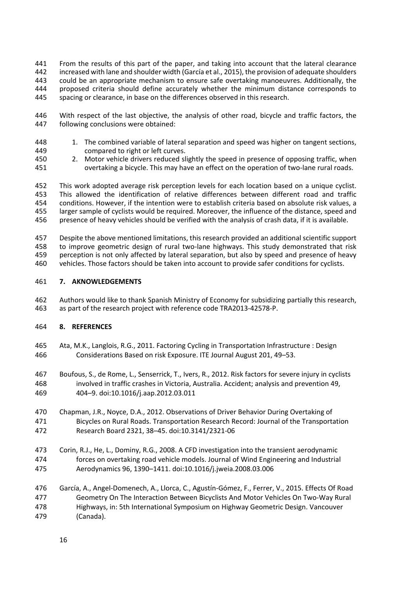From the results of this part of the paper, and taking into account that the lateral clearance increased with lane and shoulder width (García et al., 2015), the provision of adequate shoulders could be an appropriate mechanism to ensure safe overtaking manoeuvres. Additionally, the 444 proposed criteria should define accurately whether the minimum distance corresponds to 445 spacing or clearance, in base on the differences observed in this research. spacing or clearance, in base on the differences observed in this research.

 With respect of the last objective, the analysis of other road, bicycle and traffic factors, the following conclusions were obtained:

- 448 1. The combined variable of lateral separation and speed was higher on tangent sections, compared to right or left curves.
- 450 2. Motor vehicle drivers reduced slightly the speed in presence of opposing traffic, when<br>451 overtaking a bicycle. This may have an effect on the operation of two-lane rural roads. overtaking a bicycle. This may have an effect on the operation of two-lane rural roads.

 This work adopted average risk perception levels for each location based on a unique cyclist. 453 This allowed the identification of relative differences between different road and traffic<br>454 conditions. However, if the intention were to establish criteria based on absolute risk values, a conditions. However, if the intention were to establish criteria based on absolute risk values, a larger sample of cyclists would be required. Moreover, the influence of the distance, speed and presence of heavy vehicles should be verified with the analysis of crash data, if it is available.

 Despite the above mentioned limitations, this research provided an additional scientific support 458 to improve geometric design of rural two-lane highways. This study demonstrated that risk perception is not only affected by lateral separation, but also by speed and presence of heavy vehicles. Those factors should be taken into account to provide safer conditions for cyclists.

#### **7. AKNOWLEDGEMENTS**

 Authors would like to thank Spanish Ministry of Economy for subsidizing partially this research, as part of the research project with reference code TRA2013‐42578‐P.

## **8. REFERENCES**

- Ata, M.K., Langlois, R.G., 2011. Factoring Cycling in Transportation Infrastructure : Design Considerations Based on risk Exposure. ITE Journal August 201, 49–53.
- Boufous, S., de Rome, L., Senserrick, T., Ivers, R., 2012. Risk factors for severe injury in cyclists involved in traffic crashes in Victoria, Australia. Accident; analysis and prevention 49, 404–9. doi:10.1016/j.aap.2012.03.011
- Chapman, J.R., Noyce, D.A., 2012. Observations of Driver Behavior During Overtaking of Bicycles on Rural Roads. Transportation Research Record: Journal of the Transportation Research Board 2321, 38–45. doi:10.3141/2321‐06
- Corin, R.J., He, L., Dominy, R.G., 2008. A CFD investigation into the transient aerodynamic forces on overtaking road vehicle models. Journal of Wind Engineering and Industrial Aerodynamics 96, 1390–1411. doi:10.1016/j.jweia.2008.03.006
- García, A., Angel‐Domenech, A., Llorca, C., Agustín‐Gómez, F., Ferrer, V., 2015. Effects Of Road Geometry On The Interaction Between Bicyclists And Motor Vehicles On Two‐Way Rural Highways, in: 5th International Symposium on Highway Geometric Design. Vancouver (Canada).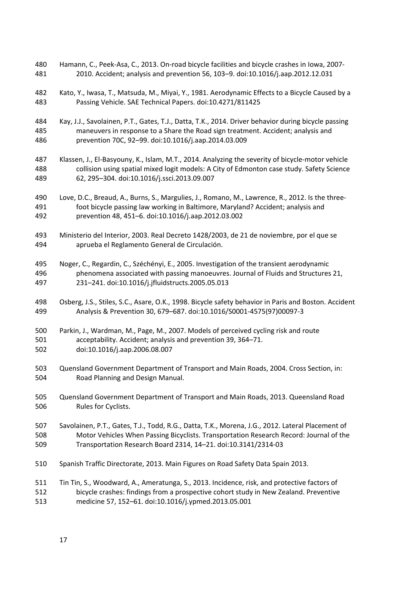- 480 Hamann, C., Peek-Asa, C., 2013. On-road bicycle facilities and bicycle crashes in Iowa, 2007-2010. Accident; analysis and prevention 56, 103–9. doi:10.1016/j.aap.2012.12.031
- Kato, Y., Iwasa, T., Matsuda, M., Miyai, Y., 1981. Aerodynamic Effects to a Bicycle Caused by a Passing Vehicle. SAE Technical Papers. doi:10.4271/811425
- Kay, J.J., Savolainen, P.T., Gates, T.J., Datta, T.K., 2014. Driver behavior during bicycle passing maneuvers in response to a Share the Road sign treatment. Accident; analysis and prevention 70C, 92–99. doi:10.1016/j.aap.2014.03.009
- 487 Klassen, J., El-Basyouny, K., Islam, M.T., 2014. Analyzing the severity of bicycle-motor vehicle collision using spatial mixed logit models: A City of Edmonton case study. Safety Science 62, 295–304. doi:10.1016/j.ssci.2013.09.007
- Love, D.C., Breaud, A., Burns, S., Margulies, J., Romano, M., Lawrence, R., 2012. Is the three‐ foot bicycle passing law working in Baltimore, Maryland? Accident; analysis and prevention 48, 451–6. doi:10.1016/j.aap.2012.03.002
- Ministerio del Interior, 2003. Real Decreto 1428/2003, de 21 de noviembre, por el que se aprueba el Reglamento General de Circulación.
- Noger, C., Regardin, C., Széchényi, E., 2005. Investigation of the transient aerodynamic phenomena associated with passing manoeuvres. Journal of Fluids and Structures 21, 231–241. doi:10.1016/j.jfluidstructs.2005.05.013
- Osberg, J.S., Stiles, S.C., Asare, O.K., 1998. Bicycle safety behavior in Paris and Boston. Accident Analysis & Prevention 30, 679–687. doi:10.1016/S0001‐4575(97)00097‐3
- Parkin, J., Wardman, M., Page, M., 2007. Models of perceived cycling risk and route acceptability. Accident; analysis and prevention 39, 364–71. doi:10.1016/j.aap.2006.08.007
- Quensland Government Department of Transport and Main Roads, 2004. Cross Section, in: Road Planning and Design Manual.
- Quensland Government Department of Transport and Main Roads, 2013. Queensland Road Rules for Cyclists.
- Savolainen, P.T., Gates, T.J., Todd, R.G., Datta, T.K., Morena, J.G., 2012. Lateral Placement of Motor Vehicles When Passing Bicyclists. Transportation Research Record: Journal of the Transportation Research Board 2314, 14–21. doi:10.3141/2314‐03
- Spanish Traffic Directorate, 2013. Main Figures on Road Safety Data Spain 2013.

 Tin Tin, S., Woodward, A., Ameratunga, S., 2013. Incidence, risk, and protective factors of bicycle crashes: findings from a prospective cohort study in New Zealand. Preventive medicine 57, 152–61. doi:10.1016/j.ypmed.2013.05.001